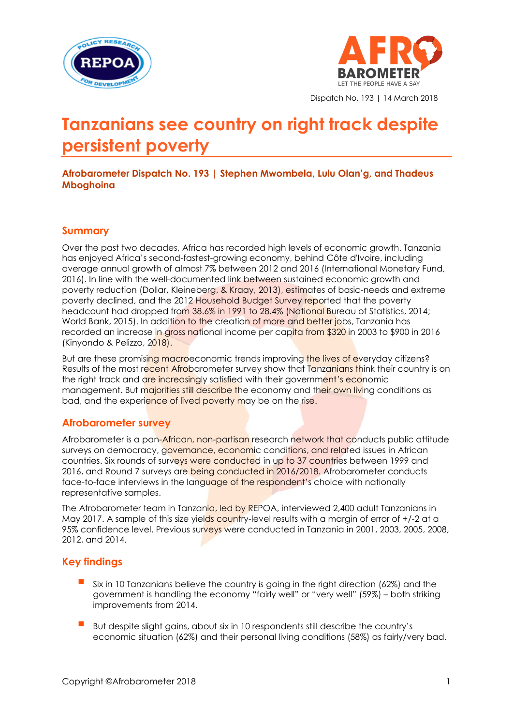



Dispatch No. 193 | 14 March 2018

# **Tanzanians see country on right track despite persistent poverty**

**Afrobarometer Dispatch No. 193 | Stephen Mwombela, Lulu Olan'g, and Thadeus Mboghoina**

#### **Summary**

Over the past two decades, Africa has recorded high levels of economic growth. Tanzania has enjoyed Africa's second-fastest-growing economy, behind Côte d'Ivoire, including average annual growth of almost 7% between 2012 and 2016 (International Monetary Fund, 2016). In line with the well-documented link between sustained economic growth and poverty reduction (Dollar, Kleineberg, & Kraay, 2013), estimates of basic-needs and extreme poverty declined, and the 2012 Household Budget Survey reported that the poverty headcount had dropped from 38.6% in 1991 to 28.4% (National Bureau of Statistics, 2014; World Bank, 2015). In addition to the creation of more and better jobs, Tanzania has recorded an increase in gross national income per capita from \$320 in 2003 to \$900 in 2016 (Kinyondo & Pelizzo, 2018).

But are these promising macroeconomic trends improving the lives of everyday citizens? Results of the most recent Afrobarometer survey show that Tanzanians think their country is on the right track and are increasingly satisfied with their government's economic management. But majorities still describe the economy and their own living conditions as bad, and the experience of lived poverty may be on the rise.

## **Afrobarometer survey**

Afrobarometer is a pan-African, non-partisan research network that conducts public attitude surveys on democracy, governance, economic conditions, and related issues in African countries. Six rounds of surveys were conducted in up to 37 countries between 1999 and 2016, and Round 7 surveys are being conducted in 2016/2018. Afrobarometer conducts face-to-face interviews in the language of the respondent's choice with nationally representative samples.

The Afrobarometer team in Tanzania, led by REPOA, interviewed 2,400 adult Tanzanians in May 2017. A sample of this size yields country-level results with a margin of error of  $+/$ -2 at a 95% confidence level. Previous surveys were conducted in Tanzania in 2001, 2003, 2005, 2008, 2012, and 2014.

## **Key findings**

- Six in 10 Tanzanians believe the country is going in the right direction (62%) and the government is handling the economy "fairly well" or "very well" (59%) – both striking improvements from 2014.
- But despite slight gains, about six in 10 respondents still describe the country's economic situation (62%) and their personal living conditions (58%) as fairly/very bad.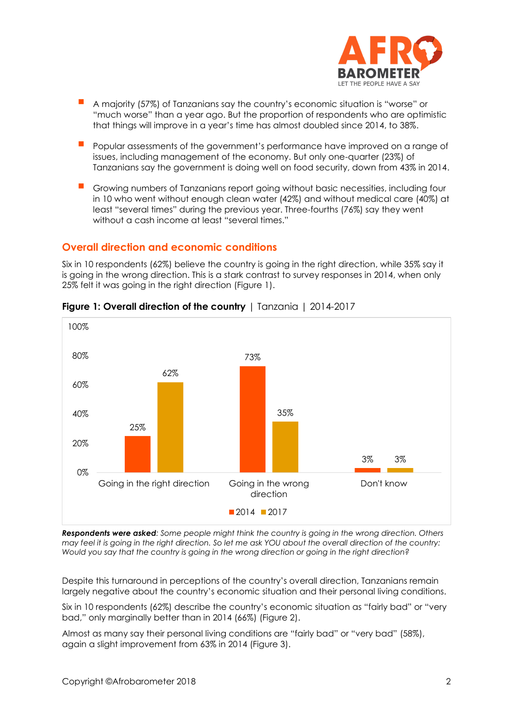

- <sup>A</sup> majority (57%) of Tanzanians say the country's economic situation is "worse" or "much worse" than a year ago. But the proportion of respondents who are optimistic that things will improve in a year's time has almost doubled since 2014, to 38%.
- Popular assessments of the government's performance have improved on a range of issues, including management of the economy. But only one-quarter (23%) of Tanzanians say the government is doing well on food security, down from 43% in 2014.
- Growing numbers of Tanzanians report going without basic necessities, including four in 10 who went without enough clean water (42%) and without medical care (40%) at least "several times" during the previous year. Three-fourths (76%) say they went without a cash income at least "several times."

## **Overall direction and economic conditions**

Six in 10 respondents (62%) believe the country is going in the right direction, while 35% say it is going in the wrong direction. This is a stark contrast to survey responses in 2014, when only 25% felt it was going in the right direction (Figure 1).



## **Figure 1: Overall direction of the country** | Tanzania | 2014-2017

*Respondents were asked: Some people might think the country is going in the wrong direction. Others may feel it is going in the right direction. So let me ask YOU about the overall direction of the country: Would you say that the country is going in the wrong direction or going in the right direction?*

Despite this turnaround in perceptions of the country's overall direction, Tanzanians remain largely negative about the country's economic situation and their personal living conditions.

Six in 10 respondents (62%) describe the country's economic situation as "fairly bad" or "very bad," only marginally better than in 2014 (66%) (Figure 2).

Almost as many say their personal living conditions are "fairly bad" or "very bad" (58%), again a slight improvement from 63% in 2014 (Figure 3).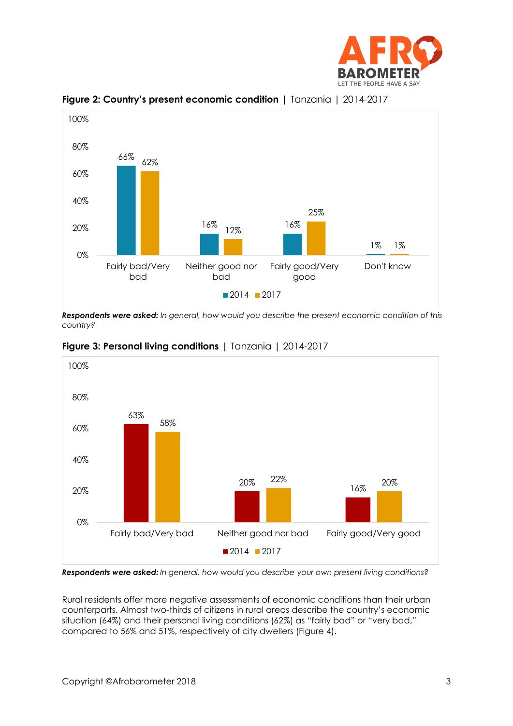



**Figure 2: Country's present economic condition** | Tanzania | 2014-2017

*Respondents were asked: In general, how would you describe the present economic condition of this country?*





*Respondents were asked: In general, how would you describe your own present living conditions?* 

Rural residents offer more negative assessments of economic conditions than their urban counterparts. Almost two-thirds of citizens in rural areas describe the country's economic situation (64%) and their personal living conditions (62%) as "fairly bad" or "very bad," compared to 56% and 51%, respectively of city dwellers (Figure 4).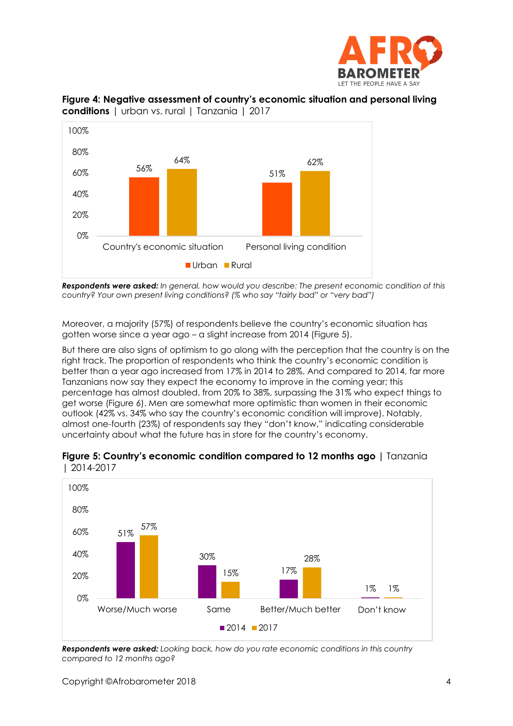





*Respondents were asked: In general, how would you describe: The present economic condition of this country? Your own present living conditions? (% who say "fairly bad" or "very bad")*

Moreover, a majority (57%) of respondents believe the country's economic situation has gotten worse since a year ago – a slight increase from 2014 (Figure 5).

But there are also signs of optimism to go along with the perception that the country is on the right track. The proportion of respondents who think the country's economic condition is better than a year ago increased from 17% in 2014 to 28%. And compared to 2014, far more Tanzanians now say they expect the economy to improve in the coming year; this percentage has almost doubled, from 20% to 38%, surpassing the 31% who expect things to get worse (Figure 6). Men are somewhat more optimistic than women in their economic outlook (42% vs. 34% who say the country's economic condition will improve). Notably, almost one-fourth (23%) of respondents say they "don't know," indicating considerable uncertainty about what the future has in store for the country's economy.



**Figure 5: Country's economic condition compared to 12 months ago |** Tanzania | 2014-2017

*Respondents were asked: Looking back, how do you rate economic conditions in this country compared to 12 months ago?*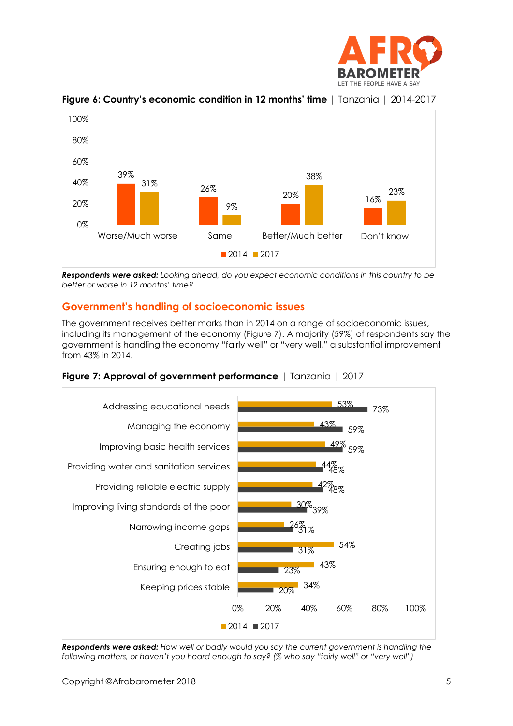



**Figure 6: Country's economic condition in 12 months' time |** Tanzania | 2014-2017

*Respondents were asked: Looking ahead, do you expect economic conditions in this country to be better or worse in 12 months' time?*

# **Government's handling of socioeconomic issues**

The government receives better marks than in 2014 on a range of socioeconomic issues, including its management of the economy (Figure 7). A majority (59%) of respondents say the government is handling the economy "fairly well" or "very well," a substantial improvement from 43% in 2014.





*Respondents were asked: How well or badly would you say the current government is handling the following matters, or haven't you heard enough to say? (% who say "fairly well" or "very well")*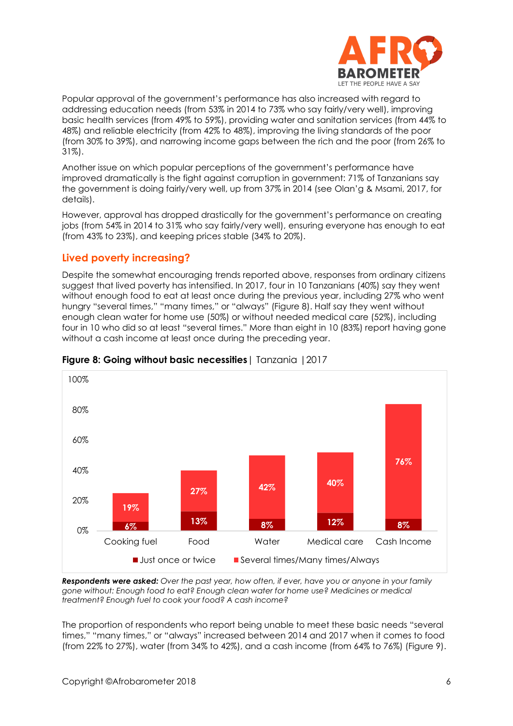

Popular approval of the government's performance has also increased with regard to addressing education needs (from 53% in 2014 to 73% who say fairly/very well), improving basic health services (from 49% to 59%), providing water and sanitation services (from 44% to 48%) and reliable electricity (from 42% to 48%), improving the living standards of the poor (from 30% to 39%), and narrowing income gaps between the rich and the poor (from 26% to 31%).

Another issue on which popular perceptions of the government's performance have improved dramatically is the fight against corruption in government: 71% of Tanzanians say the government is doing fairly/very well, up from 37% in 2014 (see Olan'g & Msami, 2017, for details).

However, approval has dropped drastically for the government's performance on creating jobs (from 54% in 2014 to 31% who say fairly/very well), ensuring everyone has enough to eat (from 43% to 23%), and keeping prices stable (34% to 20%).

## **Lived poverty increasing?**

Despite the somewhat encouraging trends reported above, responses from ordinary citizens suggest that lived poverty has intensified. In 2017, four in 10 Tanzanians (40%) say they went without enough food to eat at least once during the previous year, including 27% who went hungry "several times," "many times," or "always" (Figure 8). Half say they went without enough clean water for home use (50%) or without needed medical care (52%), including four in 10 who did so at least "several times." More than eight in 10 (83%) report having gone without a cash income at least once during the preceding year.



#### **Figure 8: Going without basic necessities**| Tanzania |2017

*Respondents were asked: Over the past year, how often, if ever, have you or anyone in your family gone without: Enough food to eat? Enough clean water for home use? Medicines or medical treatment? Enough fuel to cook your food? A cash income?* 

The proportion of respondents who report being unable to meet these basic needs "several times," "many times," or "always" increased between 2014 and 2017 when it comes to food (from 22% to 27%), water (from 34% to 42%), and a cash income (from 64% to 76%) (Figure 9).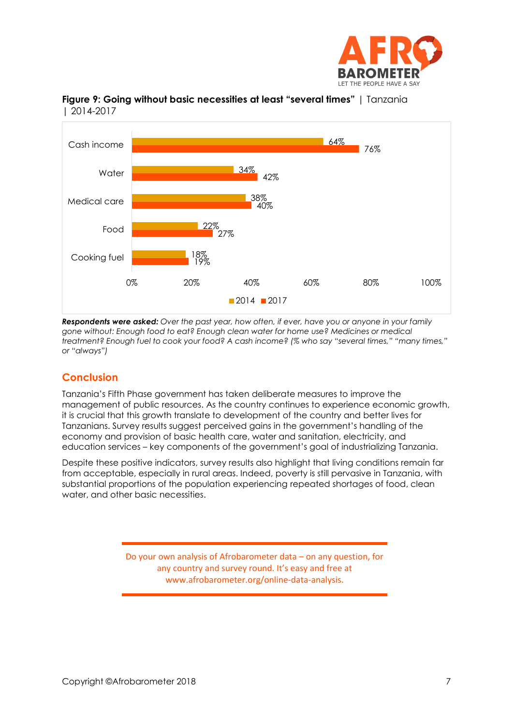





*Respondents were asked: Over the past year, how often, if ever, have you or anyone in your family gone without: Enough food to eat? Enough clean water for home use? Medicines or medical treatment? Enough fuel to cook your food? A cash income? (% who say "several times," "many times," or "always")*

# **Conclusion**

Tanzania's Fifth Phase government has taken deliberate measures to improve the management of public resources. As the country continues to experience economic growth, it is crucial that this growth translate to development of the country and better lives for Tanzanians. Survey results suggest perceived gains in the government's handling of the economy and provision of basic health care, water and sanitation, electricity, and education services – key components of the government's goal of industrializing Tanzania.

Despite these positive indicators, survey results also highlight that living conditions remain far from acceptable, especially in rural areas. Indeed, poverty is still pervasive in Tanzania, with substantial proportions of the population experiencing repeated shortages of food, clean water, and other basic necessities.

> Do your own analysis of Afrobarometer data – on any question, for any country and survey round. It's easy and free at www.afrobarometer.org/online-data-analysis.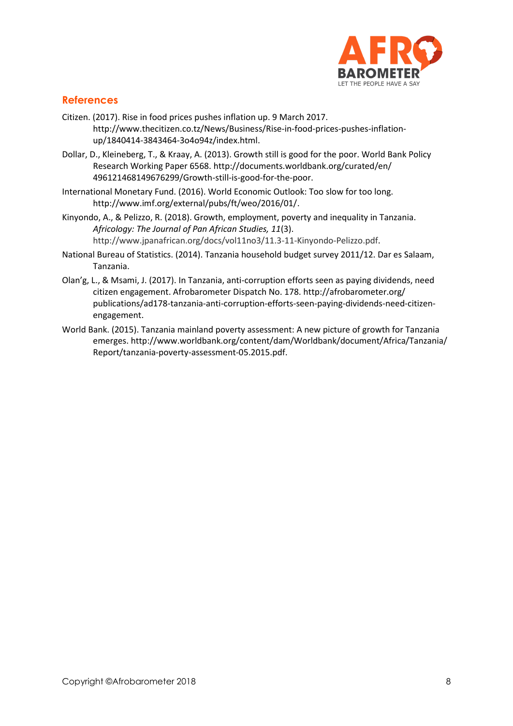

## **References**

- Citizen. (2017). Rise in food prices pushes inflation up. 9 March 2017. [http://www.thecitizen.co.tz/News/Business/Rise-in-food-prices-pushes-inflation](http://www.thecitizen.co.tz/News/Business/Rise-in-food-prices-pushes-inflation-up/1840414-3843464-3o4o94z/index.html)[up/1840414-3843464-3o4o94z/index.html.](http://www.thecitizen.co.tz/News/Business/Rise-in-food-prices-pushes-inflation-up/1840414-3843464-3o4o94z/index.html)
- Dollar, D., Kleineberg, T., & Kraay, A. (2013). Growth still is good for the poor. World Bank Policy Research Working Paper 6568. [http://documents.worldbank.org/curated/en/](http://documents.worldbank.org/curated/en/%20496121468149676299/Growth-still-is-good-for-the-poor) [496121468149676299/Growth-still-is-good-for-the-poor.](http://documents.worldbank.org/curated/en/%20496121468149676299/Growth-still-is-good-for-the-poor)
- International Monetary Fund. (2016). World Economic Outlook: Too slow for too long. [http://www.imf.org/external/pubs/ft/weo/2016/01/.](http://www.imf.org/external/pubs/ft/weo/2016/01/)
- Kinyondo, A., & Pelizzo, R. (2018). Growth, employment, poverty and inequality in Tanzania. *Africology: The Journal of Pan African Studies, 11*(3). [http://www.jpanafrican.org/docs/vol11no3/11.3-11-Kinyondo-Pelizzo.pdf.](http://www.jpanafrican.org/docs/vol11no3/11.3-11-Kinyondo-Pelizzo.pdf)
- National Bureau of Statistics. (2014). Tanzania household budget survey 2011/12. Dar es Salaam, Tanzania.
- Olan'g, L., & Msami, J. (2017). In Tanzania, anti-corruption efforts seen as paying dividends, need citizen engagement. Afrobarometer Dispatch No. 178. [http://afrobarometer.org/](http://afrobarometer.org/%20publications/ad178-tanzania-anti-corruption-efforts-seen-paying-dividends-need-citizen-engagement) [publications/ad178-tanzania-anti-corruption-efforts-seen-paying-dividends-need-citizen](http://afrobarometer.org/%20publications/ad178-tanzania-anti-corruption-efforts-seen-paying-dividends-need-citizen-engagement)[engagement.](http://afrobarometer.org/%20publications/ad178-tanzania-anti-corruption-efforts-seen-paying-dividends-need-citizen-engagement)
- World Bank. (2015). Tanzania mainland poverty assessment: A new picture of growth for Tanzania emerges. [http://www.worldbank.org/content/dam/Worldbank/document/Africa/Tanzania/](http://www.worldbank.org/content/dam/Worldbank/document/Africa/Tanzania/%20Report/tanzania-poverty-assessment-05.2015.pdf) [Report/tanzania-poverty-assessment-05.2015.pdf.](http://www.worldbank.org/content/dam/Worldbank/document/Africa/Tanzania/%20Report/tanzania-poverty-assessment-05.2015.pdf)